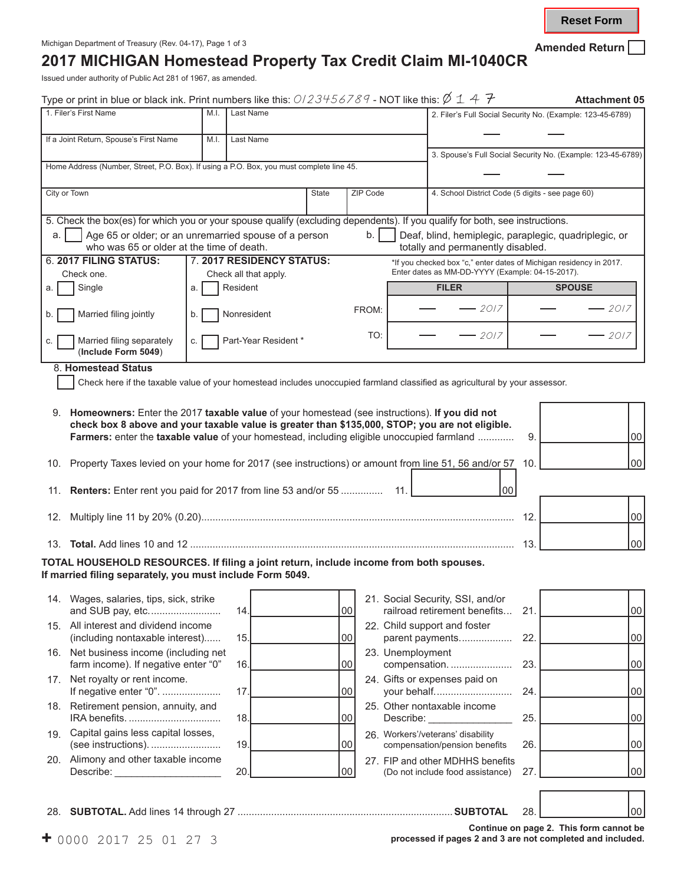## **2017 MICHIGAN Homestead Property Tax Credit Claim MI-1040CR**

Issued under authority of Public Act 281 of 1967, as amended.

| Home Address (Number, Street, P.O. Box). If using a P.O. Box, you must complete line 45.<br>ZIP Code<br>b.<br>FROM:<br>TO:<br>check box 8 above and your taxable value is greater than \$135,000, STOP; you are not eligible. | 2. Filer's Full Social Security No. (Example: 123-45-6789)<br>3. Spouse's Full Social Security No. (Example: 123-45-6789)<br>4. School District Code (5 digits - see page 60)<br>5. Check the box(es) for which you or your spouse qualify (excluding dependents). If you qualify for both, see instructions.<br>Deaf, blind, hemiplegic, paraplegic, quadriplegic, or<br>totally and permanently disabled.<br>*If you checked box "c," enter dates of Michigan residency in 2017.<br>Enter dates as MM-DD-YYYY (Example: 04-15-2017).<br><b>FILER</b><br>$-$ 2017<br>- 2017<br>Check here if the taxable value of your homestead includes unoccupied farmland classified as agricultural by your assessor.<br>9. Homeowners: Enter the 2017 taxable value of your homestead (see instructions). If you did not | <b>SPOUSE</b>                                                                                                                                                                                                                                                                                                                                                                                                                                                  | $-2017$<br>$-2017$                                           |
|-------------------------------------------------------------------------------------------------------------------------------------------------------------------------------------------------------------------------------|-----------------------------------------------------------------------------------------------------------------------------------------------------------------------------------------------------------------------------------------------------------------------------------------------------------------------------------------------------------------------------------------------------------------------------------------------------------------------------------------------------------------------------------------------------------------------------------------------------------------------------------------------------------------------------------------------------------------------------------------------------------------------------------------------------------------|----------------------------------------------------------------------------------------------------------------------------------------------------------------------------------------------------------------------------------------------------------------------------------------------------------------------------------------------------------------------------------------------------------------------------------------------------------------|--------------------------------------------------------------|
|                                                                                                                                                                                                                               |                                                                                                                                                                                                                                                                                                                                                                                                                                                                                                                                                                                                                                                                                                                                                                                                                 |                                                                                                                                                                                                                                                                                                                                                                                                                                                                |                                                              |
|                                                                                                                                                                                                                               |                                                                                                                                                                                                                                                                                                                                                                                                                                                                                                                                                                                                                                                                                                                                                                                                                 |                                                                                                                                                                                                                                                                                                                                                                                                                                                                |                                                              |
|                                                                                                                                                                                                                               |                                                                                                                                                                                                                                                                                                                                                                                                                                                                                                                                                                                                                                                                                                                                                                                                                 |                                                                                                                                                                                                                                                                                                                                                                                                                                                                |                                                              |
|                                                                                                                                                                                                                               |                                                                                                                                                                                                                                                                                                                                                                                                                                                                                                                                                                                                                                                                                                                                                                                                                 |                                                                                                                                                                                                                                                                                                                                                                                                                                                                |                                                              |
|                                                                                                                                                                                                                               |                                                                                                                                                                                                                                                                                                                                                                                                                                                                                                                                                                                                                                                                                                                                                                                                                 |                                                                                                                                                                                                                                                                                                                                                                                                                                                                |                                                              |
|                                                                                                                                                                                                                               |                                                                                                                                                                                                                                                                                                                                                                                                                                                                                                                                                                                                                                                                                                                                                                                                                 |                                                                                                                                                                                                                                                                                                                                                                                                                                                                |                                                              |
|                                                                                                                                                                                                                               |                                                                                                                                                                                                                                                                                                                                                                                                                                                                                                                                                                                                                                                                                                                                                                                                                 |                                                                                                                                                                                                                                                                                                                                                                                                                                                                |                                                              |
|                                                                                                                                                                                                                               |                                                                                                                                                                                                                                                                                                                                                                                                                                                                                                                                                                                                                                                                                                                                                                                                                 |                                                                                                                                                                                                                                                                                                                                                                                                                                                                |                                                              |
|                                                                                                                                                                                                                               |                                                                                                                                                                                                                                                                                                                                                                                                                                                                                                                                                                                                                                                                                                                                                                                                                 |                                                                                                                                                                                                                                                                                                                                                                                                                                                                |                                                              |
|                                                                                                                                                                                                                               |                                                                                                                                                                                                                                                                                                                                                                                                                                                                                                                                                                                                                                                                                                                                                                                                                 |                                                                                                                                                                                                                                                                                                                                                                                                                                                                |                                                              |
|                                                                                                                                                                                                                               |                                                                                                                                                                                                                                                                                                                                                                                                                                                                                                                                                                                                                                                                                                                                                                                                                 |                                                                                                                                                                                                                                                                                                                                                                                                                                                                |                                                              |
|                                                                                                                                                                                                                               |                                                                                                                                                                                                                                                                                                                                                                                                                                                                                                                                                                                                                                                                                                                                                                                                                 |                                                                                                                                                                                                                                                                                                                                                                                                                                                                |                                                              |
|                                                                                                                                                                                                                               |                                                                                                                                                                                                                                                                                                                                                                                                                                                                                                                                                                                                                                                                                                                                                                                                                 |                                                                                                                                                                                                                                                                                                                                                                                                                                                                |                                                              |
|                                                                                                                                                                                                                               |                                                                                                                                                                                                                                                                                                                                                                                                                                                                                                                                                                                                                                                                                                                                                                                                                 |                                                                                                                                                                                                                                                                                                                                                                                                                                                                |                                                              |
|                                                                                                                                                                                                                               |                                                                                                                                                                                                                                                                                                                                                                                                                                                                                                                                                                                                                                                                                                                                                                                                                 |                                                                                                                                                                                                                                                                                                                                                                                                                                                                |                                                              |
|                                                                                                                                                                                                                               |                                                                                                                                                                                                                                                                                                                                                                                                                                                                                                                                                                                                                                                                                                                                                                                                                 |                                                                                                                                                                                                                                                                                                                                                                                                                                                                |                                                              |
|                                                                                                                                                                                                                               |                                                                                                                                                                                                                                                                                                                                                                                                                                                                                                                                                                                                                                                                                                                                                                                                                 |                                                                                                                                                                                                                                                                                                                                                                                                                                                                |                                                              |
|                                                                                                                                                                                                                               |                                                                                                                                                                                                                                                                                                                                                                                                                                                                                                                                                                                                                                                                                                                                                                                                                 |                                                                                                                                                                                                                                                                                                                                                                                                                                                                |                                                              |
|                                                                                                                                                                                                                               | Farmers: enter the taxable value of your homestead, including eligible unoccupied farmland                                                                                                                                                                                                                                                                                                                                                                                                                                                                                                                                                                                                                                                                                                                      | 9.                                                                                                                                                                                                                                                                                                                                                                                                                                                             | 00                                                           |
|                                                                                                                                                                                                                               |                                                                                                                                                                                                                                                                                                                                                                                                                                                                                                                                                                                                                                                                                                                                                                                                                 |                                                                                                                                                                                                                                                                                                                                                                                                                                                                |                                                              |
|                                                                                                                                                                                                                               | Property Taxes levied on your home for 2017 (see instructions) or amount from line 51, 56 and/or 57                                                                                                                                                                                                                                                                                                                                                                                                                                                                                                                                                                                                                                                                                                             | 10.                                                                                                                                                                                                                                                                                                                                                                                                                                                            | 00                                                           |
|                                                                                                                                                                                                                               |                                                                                                                                                                                                                                                                                                                                                                                                                                                                                                                                                                                                                                                                                                                                                                                                                 |                                                                                                                                                                                                                                                                                                                                                                                                                                                                |                                                              |
|                                                                                                                                                                                                                               |                                                                                                                                                                                                                                                                                                                                                                                                                                                                                                                                                                                                                                                                                                                                                                                                                 |                                                                                                                                                                                                                                                                                                                                                                                                                                                                |                                                              |
|                                                                                                                                                                                                                               |                                                                                                                                                                                                                                                                                                                                                                                                                                                                                                                                                                                                                                                                                                                                                                                                                 | 12.                                                                                                                                                                                                                                                                                                                                                                                                                                                            | 00                                                           |
|                                                                                                                                                                                                                               |                                                                                                                                                                                                                                                                                                                                                                                                                                                                                                                                                                                                                                                                                                                                                                                                                 |                                                                                                                                                                                                                                                                                                                                                                                                                                                                |                                                              |
|                                                                                                                                                                                                                               |                                                                                                                                                                                                                                                                                                                                                                                                                                                                                                                                                                                                                                                                                                                                                                                                                 |                                                                                                                                                                                                                                                                                                                                                                                                                                                                | 00                                                           |
|                                                                                                                                                                                                                               |                                                                                                                                                                                                                                                                                                                                                                                                                                                                                                                                                                                                                                                                                                                                                                                                                 |                                                                                                                                                                                                                                                                                                                                                                                                                                                                |                                                              |
|                                                                                                                                                                                                                               |                                                                                                                                                                                                                                                                                                                                                                                                                                                                                                                                                                                                                                                                                                                                                                                                                 |                                                                                                                                                                                                                                                                                                                                                                                                                                                                |                                                              |
|                                                                                                                                                                                                                               |                                                                                                                                                                                                                                                                                                                                                                                                                                                                                                                                                                                                                                                                                                                                                                                                                 |                                                                                                                                                                                                                                                                                                                                                                                                                                                                |                                                              |
|                                                                                                                                                                                                                               |                                                                                                                                                                                                                                                                                                                                                                                                                                                                                                                                                                                                                                                                                                                                                                                                                 |                                                                                                                                                                                                                                                                                                                                                                                                                                                                | 00                                                           |
|                                                                                                                                                                                                                               |                                                                                                                                                                                                                                                                                                                                                                                                                                                                                                                                                                                                                                                                                                                                                                                                                 | 22.                                                                                                                                                                                                                                                                                                                                                                                                                                                            | 00                                                           |
|                                                                                                                                                                                                                               |                                                                                                                                                                                                                                                                                                                                                                                                                                                                                                                                                                                                                                                                                                                                                                                                                 |                                                                                                                                                                                                                                                                                                                                                                                                                                                                |                                                              |
|                                                                                                                                                                                                                               |                                                                                                                                                                                                                                                                                                                                                                                                                                                                                                                                                                                                                                                                                                                                                                                                                 |                                                                                                                                                                                                                                                                                                                                                                                                                                                                | 00                                                           |
|                                                                                                                                                                                                                               |                                                                                                                                                                                                                                                                                                                                                                                                                                                                                                                                                                                                                                                                                                                                                                                                                 | 24.                                                                                                                                                                                                                                                                                                                                                                                                                                                            | 00                                                           |
|                                                                                                                                                                                                                               |                                                                                                                                                                                                                                                                                                                                                                                                                                                                                                                                                                                                                                                                                                                                                                                                                 |                                                                                                                                                                                                                                                                                                                                                                                                                                                                |                                                              |
|                                                                                                                                                                                                                               |                                                                                                                                                                                                                                                                                                                                                                                                                                                                                                                                                                                                                                                                                                                                                                                                                 | 25.                                                                                                                                                                                                                                                                                                                                                                                                                                                            | 00                                                           |
|                                                                                                                                                                                                                               |                                                                                                                                                                                                                                                                                                                                                                                                                                                                                                                                                                                                                                                                                                                                                                                                                 |                                                                                                                                                                                                                                                                                                                                                                                                                                                                | 00                                                           |
|                                                                                                                                                                                                                               |                                                                                                                                                                                                                                                                                                                                                                                                                                                                                                                                                                                                                                                                                                                                                                                                                 |                                                                                                                                                                                                                                                                                                                                                                                                                                                                |                                                              |
|                                                                                                                                                                                                                               |                                                                                                                                                                                                                                                                                                                                                                                                                                                                                                                                                                                                                                                                                                                                                                                                                 | 27.                                                                                                                                                                                                                                                                                                                                                                                                                                                            | 00                                                           |
|                                                                                                                                                                                                                               |                                                                                                                                                                                                                                                                                                                                                                                                                                                                                                                                                                                                                                                                                                                                                                                                                 |                                                                                                                                                                                                                                                                                                                                                                                                                                                                |                                                              |
|                                                                                                                                                                                                                               |                                                                                                                                                                                                                                                                                                                                                                                                                                                                                                                                                                                                                                                                                                                                                                                                                 | 28.                                                                                                                                                                                                                                                                                                                                                                                                                                                            | 00                                                           |
|                                                                                                                                                                                                                               |                                                                                                                                                                                                                                                                                                                                                                                                                                                                                                                                                                                                                                                                                                                                                                                                                 | Continue on page 2. This form cannot be                                                                                                                                                                                                                                                                                                                                                                                                                        |                                                              |
|                                                                                                                                                                                                                               | 11. Renters: Enter rent you paid for 2017 from line 53 and/or 55<br>11.                                                                                                                                                                                                                                                                                                                                                                                                                                                                                                                                                                                                                                                                                                                                         | 00<br>TOTAL HOUSEHOLD RESOURCES. If filing a joint return, include income from both spouses.<br>21. Social Security, SSI, and/or<br>railroad retirement benefits<br>22. Child support and foster<br>parent payments<br>23. Unemployment<br>compensation.<br>24. Gifts or expenses paid on<br>your behalf<br>25. Other nontaxable income<br>Describe:<br>26. Workers'/veterans' disability<br>compensation/pension benefits<br>(Do not include food assistance) | 13.<br>21.<br>23.<br>26.<br>27. FIP and other MDHHS benefits |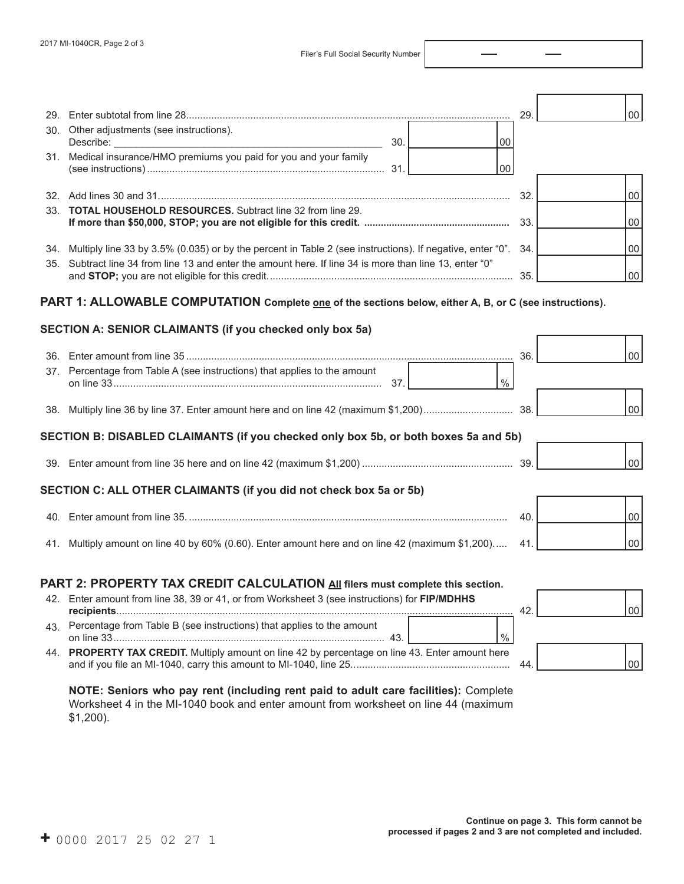Filer's Full Social Security Number

| 29.<br>30. | Other adjustments (see instructions).<br>30.<br>00                                                            | 29. | 00 |
|------------|---------------------------------------------------------------------------------------------------------------|-----|----|
|            | 31. Medical insurance/HMO premiums you paid for you and your family<br>00                                     |     |    |
|            |                                                                                                               | 32. | 00 |
| 33.        | TOTAL HOUSEHOLD RESOURCES. Subtract line 32 from line 29.                                                     | 33. | 00 |
|            | 34. Multiply line 33 by 3.5% (0.035) or by the percent in Table 2 (see instructions). If negative, enter "0". | 34. | 00 |
|            | 35. Subtract line 34 from line 13 and enter the amount here. If line 34 is more than line 13, enter "0"       | 35. | 00 |
|            | PART 1: ALLOWABLE COMPUTATION Complete one of the sections below, either A, B, or C (see instructions).       |     |    |
|            | SECTION A: SENIOR CLAIMANTS (if you checked only box 5a)                                                      |     |    |
|            |                                                                                                               | 36. | 00 |
|            | 37. Percentage from Table A (see instructions) that applies to the amount<br>$\frac{0}{0}$<br>37.             |     |    |
|            |                                                                                                               |     | 00 |
|            | SECTION B: DISABLED CLAIMANTS (if you checked only box 5b, or both boxes 5a and 5b)                           |     |    |
|            |                                                                                                               |     | 00 |
|            | SECTION C: ALL OTHER CLAIMANTS (if you did not check box 5a or 5b)                                            |     |    |
|            |                                                                                                               | 40. | 00 |
|            | 41. Multiply amount on line 40 by 60% (0.60). Enter amount here and on line 42 (maximum \$1,200)              | 41  | 00 |
|            | PART 2: PROPERTY TAX CREDIT CALCULATION All filers must complete this section.                                |     |    |
|            | 42. Enter amount from line 38, 39 or 41, or from Worksheet 3 (see instructions) for FIP/MDHHS                 | 42. | 00 |
|            | 43. Percentage from Table B (see instructions) that applies to the amount<br>$\%$                             |     |    |
|            | 44. PROPERTY TAX CREDIT. Multiply amount on line 42 by percentage on line 43. Enter amount here               | 44. | 00 |

**NOTE: Seniors who pay rent (including rent paid to adult care facilities):** Complete Worksheet 4 in the MI-1040 book and enter amount from worksheet on line 44 (maximum \$1,200).